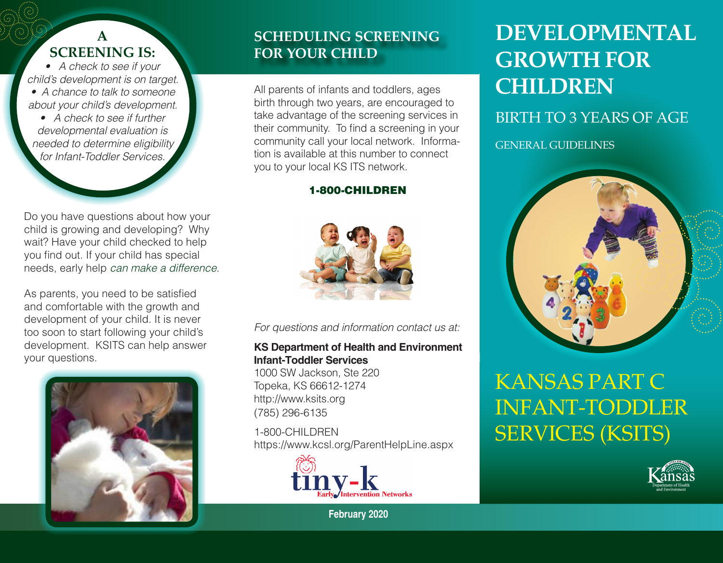#### **A screening is:**

*• A check to see if your child's development is on target. • A chance to talk to someone about your child's development.*

*• A check to see if further developmental evaluation is needed to determine eligibility for Infant-Toddler Services.*

Do you have questions about how your child is growing and developing? Why wait? Have your child checked to help you find out. If your child has special needs, early help *can make a difference*.

As parents, you need to be satisfied and comfortable with the growth and development of your child. It is never too soon to start following your child's development. KSITS can help answer your questions.



#### **scheduling screening for your child**

All parents of infants and toddlers, ages birth through two years, are encouraged to take advantage of the screening services in their community. To find a screening in your community call your local network. Information is available at this number to connect you to your local KS ITS network.

#### 1-800-CHILDREN



*For questions and information contact us at:*

#### **KS Department of Health and Environment Infant-Toddler Services**

1000 SW Jackson, Ste 220 Topeka, KS 66612-1274 http://www.ksits.org (785) 296-6135

1-800-CHILDREN https://www.kcsl.org/ParentHelpLine.aspx



**February 2020**

## **Developmental Growth for Children**

Birth to 3 Years of Age

General Guidelines



## Kansas Part C Infant-Toddler SERVICES (KSITS)